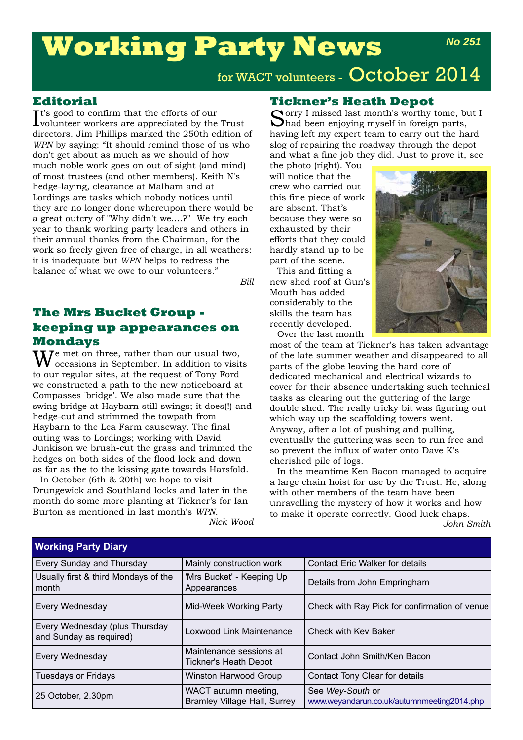# **Working Party News**

# for WACT volunteers - October 2014

### **Editorial**

 $\mathbf{I}^\text{t's}$  good to confirm that the efforts of our volunteer workers are appreciated by the volunteer workers are appreciated by the Trust directors. Jim Phillips marked the 250th edition of *WPN* by saying: "It should remind those of us who don't get about as much as we should of how much noble work goes on out of sight (and mind) of most trustees (and other members). Keith N's hedge-laying, clearance at Malham and at Lordings are tasks which nobody notices until they are no longer done whereupon there would be a great outcry of "Why didn't we....?" We try each year to thank working party leaders and others in their annual thanks from the Chairman, for the work so freely given free of charge, in all weathers: it is inadequate but *WPN* helps to redress the balance of what we owe to our volunteers."

*Bill*

# **The Mrs Bucket Group keeping up appearances on Mondays**

 $\mathbf{W}^{\text{e met on three, rather than our usual two,}}$ occasions in September. In addition to visits to our regular sites, at the request of Tony Ford we constructed a path to the new noticeboard at Compasses 'bridge'. We also made sure that the swing bridge at Haybarn still swings; it does(!) and hedge-cut and strimmed the towpath from Haybarn to the Lea Farm causeway. The final outing was to Lordings; working with David Junkison we brush-cut the grass and trimmed the hedges on both sides of the flood lock and down as far as the to the kissing gate towards Harsfold.

In October (6th & 20th) we hope to visit Drungewick and Southland locks and later in the month do some more planting at Tickner's for Ian Burton as mentioned in last month's *WPN*.

*Nick Wood*

# **Tickner's Heath Depot**

Sorry I missed last month's worthy tome, but I had been enjoying myself in foreign parts, having left my expert team to carry out the hard slog of repairing the roadway through the depot and what a fine job they did. Just to prove it, see

the photo (right). You will notice that the crew who carried out this fine piece of work are absent. That's because they were so exhausted by their efforts that they could hardly stand up to be part of the scene.

This and fitting a new shed roof at Gun's Mouth has added considerably to the skills the team has recently developed. Over the last month



most of the team at Tickner's has taken advantage of the late summer weather and disappeared to all parts of the globe leaving the hard core of dedicated mechanical and electrical wizards to cover for their absence undertaking such technical tasks as clearing out the guttering of the large double shed. The really tricky bit was figuring out which way up the scaffolding towers went. Anyway, after a lot of pushing and pulling, eventually the guttering was seen to run free and so prevent the influx of water onto Dave K's cherished pile of logs.

In the meantime Ken Bacon managed to acquire a large chain hoist for use by the Trust. He, along with other members of the team have been unravelling the mystery of how it works and how to make it operate correctly. Good luck chaps.

*John Smith*

| $\cdots$                                                  |                                                             |                                                                |
|-----------------------------------------------------------|-------------------------------------------------------------|----------------------------------------------------------------|
| Every Sunday and Thursday                                 | Mainly construction work                                    | <b>Contact Eric Walker for details</b>                         |
| Usually first & third Mondays of the<br>month             | 'Mrs Bucket' - Keeping Up<br>Appearances                    | Details from John Empringham                                   |
| Every Wednesday                                           | Mid-Week Working Party                                      | Check with Ray Pick for confirmation of venue                  |
| Every Wednesday (plus Thursday<br>and Sunday as required) | Loxwood Link Maintenance                                    | <b>Check with Kev Baker</b>                                    |
| Every Wednesday                                           | Maintenance sessions at<br>Tickner's Heath Depot            | Contact John Smith/Ken Bacon                                   |
| <b>Tuesdays or Fridays</b>                                | Winston Harwood Group                                       | Contact Tony Clear for details                                 |
| 25 October, 2.30pm                                        | WACT autumn meeting,<br><b>Bramley Village Hall, Surrey</b> | See Wey-South or<br>www.weyandarun.co.uk/autumnmeeting2014.php |

**Working Party Diary**